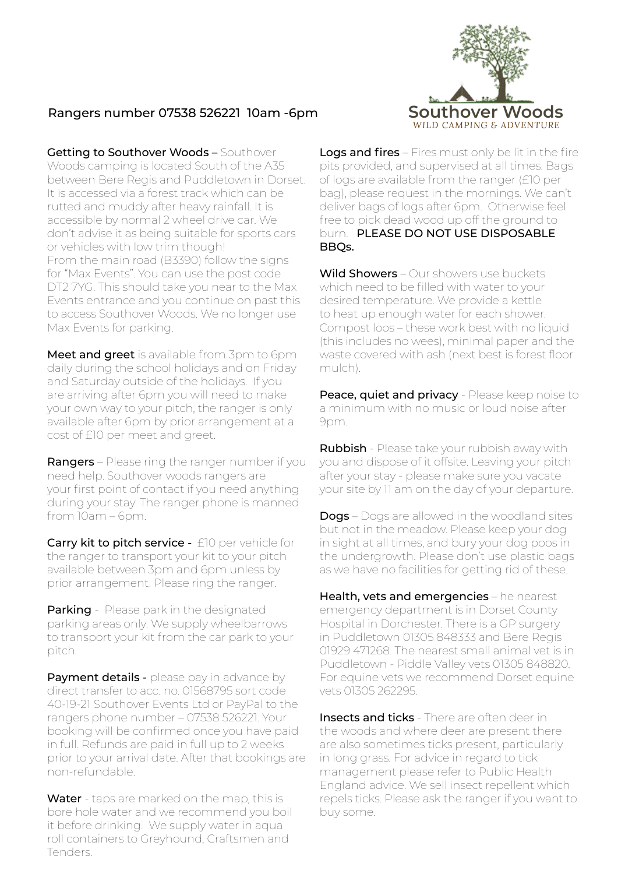

## Rangers number 07538 526221 10am -6pm

Getting to Southover Woods - Southover Woods camping is located South of the A35 between Bere Regis and Puddletown in Dorset. It is accessed via a forest track which can be rutted and muddy after heavy rainfall. It is accessible by normal 2 wheel drive car. We don't advise it as being suitable for sports cars or vehicles with low trim though! From the main road (B3390) follow the signs for "Max Events". You can use the post code DT2 7YG. This should take you near to the Max Events entrance and you continue on past this to access Southover Woods. We no longer use Max Events for parking.

Meet and greet is available from 3pm to 6pm daily during the school holidays and on Friday and Saturday outside of the holidays. If you are arriving after 6pm you will need to make your own way to your pitch, the ranger is only available after 6pm by prior arrangement at a cost of £10 per meet and greet.

Rangers - Please ring the ranger number if you need help. Southover woods rangers are your first point of contact if you need anything during your stay. The ranger phone is manned from 10am – 6pm.

Carry kit to pitch service - £10 per vehicle for the ranger to transport your kit to your pitch available between 3pm and 6pm unless by prior arrangement. Please ring the ranger.

**Parking** - Please park in the designated parking areas only. We supply wheelbarrows to transport your kit from the car park to your pitch.

Payment details - please pay in advance by direct transfer to acc. no. 01568795 sort code 40-19-21 Southover Events Ltd or PayPal to the rangers phone number – 07538 526221. Your booking will be confirmed once you have paid in full. Refunds are paid in full up to 2 weeks prior to your arrival date. After that bookings are non-refundable.

Water - taps are marked on the map, this is bore hole water and we recommend you boil it before drinking. We supply water in aqua roll containers to Greyhound, Craftsmen and Tenders.

Logs and fires – Fires must only be lit in the fire pits provided, and supervised at all times. Bags of logs are available from the ranger (£10 per bag), please request in the mornings. We can't deliver bags of logs after 6pm. Otherwise feel free to pick dead wood up off the ground to burn. PLEASE DO NOT USE DISPOSABLE BBQs.

Wild Showers – Our showers use buckets which need to be filled with water to your desired temperature. We provide a kettle to heat up enough water for each shower. Compost loos – these work best with no liquid (this includes no wees), minimal paper and the waste covered with ash (next best is forest floor mulch).

Peace, quiet and privacy - Please keep noise to a minimum with no music or loud noise after 9pm.

**Rubbish** - Please take your rubbish away with you and dispose of it offsite. Leaving your pitch after your stay - please make sure you vacate your site by 11 am on the day of your departure.

**Dogs** – Dogs are allowed in the woodland sites but not in the meadow. Please keep your dog in sight at all times, and bury your dog poos in the undergrowth. Please don't use plastic bags as we have no facilities for getting rid of these.

Health, vets and emergencies – he nearest emergency department is in Dorset County Hospital in Dorchester. There is a GP surgery in Puddletown 01305 848333 and Bere Regis 01929 471268. The nearest small animal vet is in Puddletown - Piddle Valley vets 01305 848820. For equine vets we recommend Dorset equine vets 01305 262295.

**Insects and ticks** - There are often deer in the woods and where deer are present there are also sometimes ticks present, particularly in long grass. For advice in regard to tick management please refer to Public Health England advice. We sell insect repellent which repels ticks. Please ask the ranger if you want to buy some.